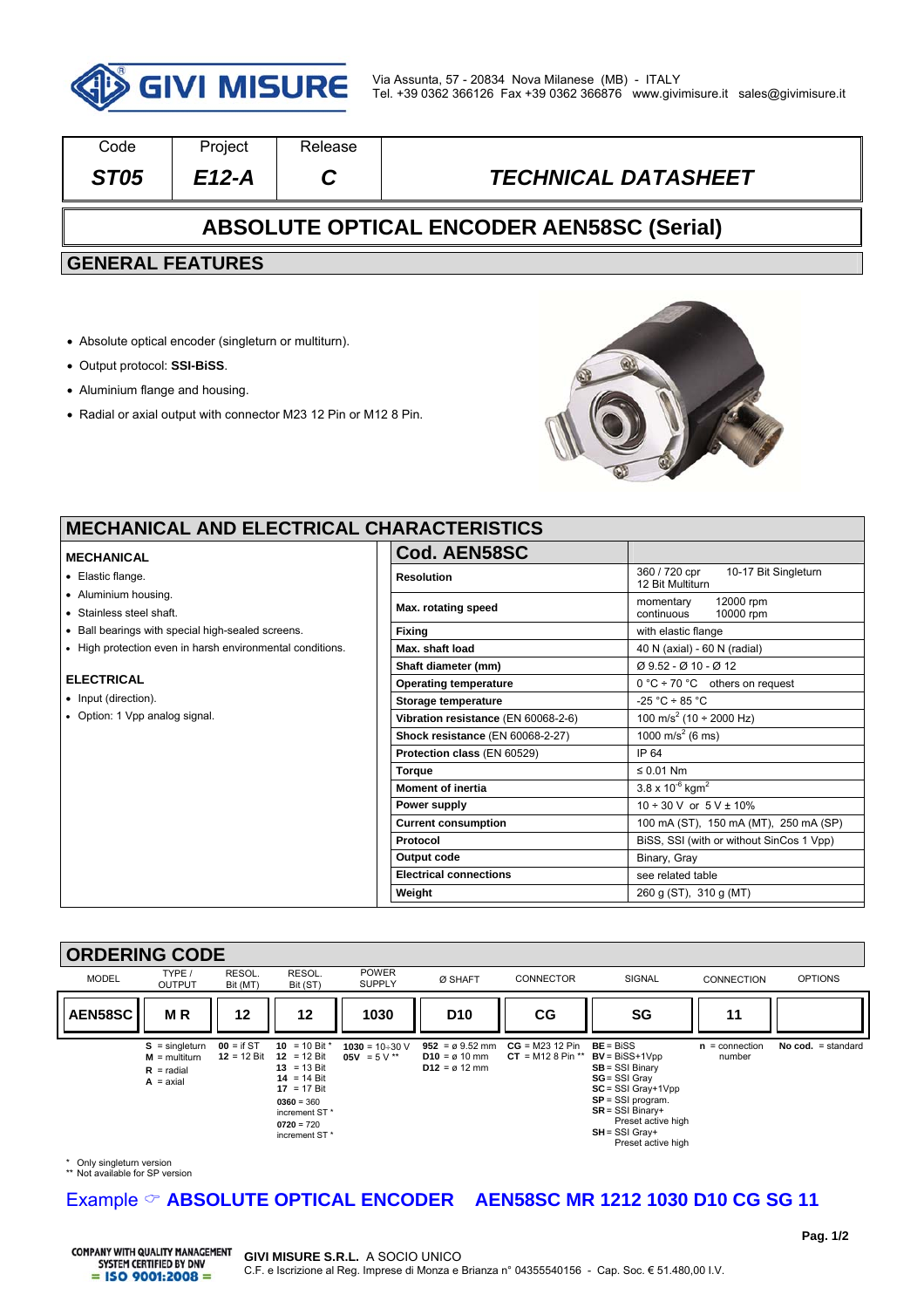

| Code                                             | Project | Release |                            |  |  |  |  |
|--------------------------------------------------|---------|---------|----------------------------|--|--|--|--|
| <b>ST05</b>                                      | E12-A   |         | <b>TECHNICAL DATASHEET</b> |  |  |  |  |
| <b>ABSOLUTE OPTICAL ENCODER AEN58SC (Serial)</b> |         |         |                            |  |  |  |  |
| <b>GENERAL FEATURES</b>                          |         |         |                            |  |  |  |  |
|                                                  |         |         |                            |  |  |  |  |

- Absolute optical encoder (singleturn or multiturn).
- Output protocol: **SSI-BiSS**.
- Aluminium flange and housing.
- Radial or axial output with connector M23 12 Pin or M12 8 Pin.



 $\overline{\phantom{a}}$ 

### **MECHANICAL AND ELECTRICAL C**

#### **MECHANICAL**

- Elastic flange.
- Aluminium housing.
- Stainless steel shaft.
- Ball bearings with special high-sealed screens.
- High protection even in harsh environmental conditions.

#### **ELECTRICAL**

- Input (direction).
- Option: 1 Vpp analog signal.

| <b>HARACIERISIICS</b>               |                                                           |  |  |
|-------------------------------------|-----------------------------------------------------------|--|--|
| Cod. AEN58SC                        |                                                           |  |  |
| <b>Resolution</b>                   | 360 / 720 cpr<br>10-17 Bit Singleturn<br>12 Bit Multiturn |  |  |
| Max. rotating speed                 | momentary<br>12000 rpm<br>continuous<br>10000 rpm         |  |  |
| <b>Fixing</b>                       | with elastic flange                                       |  |  |
| Max. shaft load                     | 40 N (axial) - 60 N (radial)                              |  |  |
| Shaft diameter (mm)                 | Ø 9.52 - Ø 10 - Ø 12                                      |  |  |
| <b>Operating temperature</b>        | $0 °C$ ÷ 70 °C others on request                          |  |  |
| Storage temperature                 | $-25 °C \div 85 °C$                                       |  |  |
| Vibration resistance (EN 60068-2-6) | 100 m/s <sup>2</sup> (10 ÷ 2000 Hz)                       |  |  |
| Shock resistance (EN 60068-2-27)    | 1000 m/s <sup>2</sup> (6 ms)                              |  |  |
| Protection class (EN 60529)         | IP 64                                                     |  |  |
| Torque                              | $\leq 0.01$ Nm                                            |  |  |
| <b>Moment of inertia</b>            | $3.8 \times 10^{-6}$ kgm <sup>2</sup>                     |  |  |
| Power supply                        | $10 \div 30$ V or $5$ V $\pm$ 10%                         |  |  |
| <b>Current consumption</b>          | 100 mA (ST), 150 mA (MT), 250 mA (SP)                     |  |  |
| Protocol                            | BiSS, SSI (with or without SinCos 1 Vpp)                  |  |  |
| Output code                         | Binary, Gray                                              |  |  |
| <b>Electrical connections</b>       | see related table                                         |  |  |
| Weight                              | 260 g (ST), 310 g (MT)                                    |  |  |

### **ORDERING CODE**



\* Only singleturn version \*\* Not available for SP version

## Example  $\circ$  **ABSOLUTE OPTICAL ENCODER** AEN58SC MR 1212 1030 D10 CG SG 11

**COMPANY WITH QUALITY MANAGEMENT** SYSTEM CERTIFIED BY DNV  $=$  ISO 9001:2008  $=$